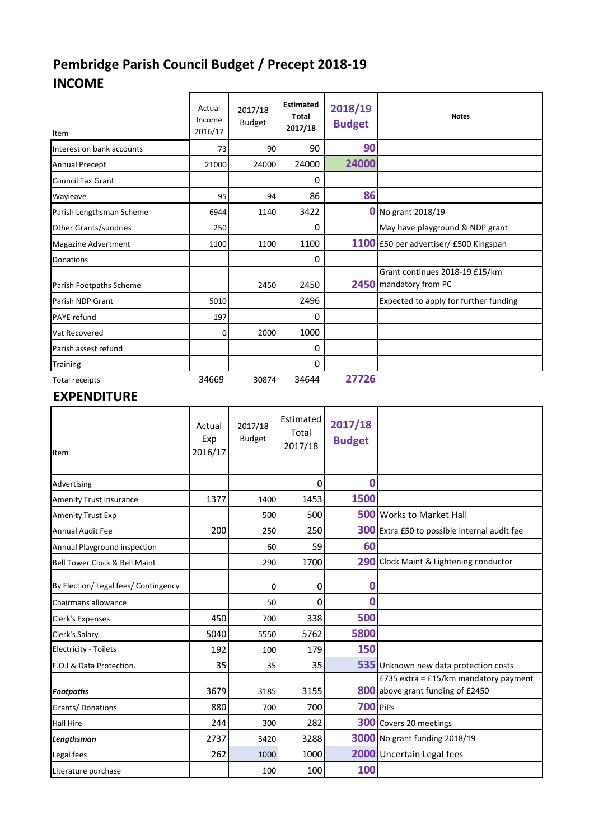## **Pembridge Parish Council Budget / Precept 2018-19 INCOME**

| Item                         | Actual<br>Income<br>2016/17 | 2017/18<br><b>Budget</b> | <b>Estimated</b><br>Total<br>2017/18 | 2018/19<br><b>Budget</b> | <b>Notes</b>                                             |
|------------------------------|-----------------------------|--------------------------|--------------------------------------|--------------------------|----------------------------------------------------------|
| Interest on bank accounts    | 73                          | 90                       | 90                                   | 90                       |                                                          |
| <b>Annual Precept</b>        | 21000                       | 24000                    | 24000                                | 24000                    |                                                          |
| <b>Council Tax Grant</b>     |                             |                          | 0                                    |                          |                                                          |
| Wayleave                     | 95                          | 94                       | 86                                   | 86                       |                                                          |
| Parish Lengthsman Scheme     | 6944                        | 1140                     | 3422                                 |                          | $\frac{1}{2}$ No grant 2018/19                           |
| <b>Other Grants/sundries</b> | 250                         |                          | 0                                    |                          | May have playground & NDP grant                          |
| Magazine Advertment          | 1100                        | 1100                     | 1100                                 |                          | 1100 £50 per advertiser/ £500 Kingspan                   |
| Donations                    |                             |                          | 0                                    |                          |                                                          |
| Parish Footpaths Scheme      |                             | 2450                     | 2450                                 |                          | Grant continues 2018-19 £15/km<br>2450 mandatory from PC |
| Parish NDP Grant             | 5010                        |                          | 2496                                 |                          | Expected to apply for further funding                    |
| <b>PAYE</b> refund           | 197                         |                          | 0                                    |                          |                                                          |
| Vat Recovered                | 0                           | 2000                     | 1000                                 |                          |                                                          |
| Parish assest refund         |                             |                          | 0                                    |                          |                                                          |
| Training                     |                             |                          | 0                                    |                          |                                                          |
| <b>Total receipts</b>        | 34669                       | 30874                    | 34644                                | 27726                    |                                                          |

## **EXPENDITURE**

| Item                                     | Actual<br>Exp<br>2016/17 | 2017/18<br><b>Budget</b> | Estimated<br>Total<br>2017/18 | 2017/18<br><b>Budget</b> |                                                                           |
|------------------------------------------|--------------------------|--------------------------|-------------------------------|--------------------------|---------------------------------------------------------------------------|
|                                          |                          |                          |                               |                          |                                                                           |
| Advertising                              |                          |                          | 0                             | $\Omega$                 |                                                                           |
| <b>Amenity Trust Insurance</b>           | 1377                     | 1400                     | 1453                          | 1500                     |                                                                           |
| <b>Amenity Trust Exp</b>                 |                          | 500                      | 500                           |                          | <b>500</b> Works to Market Hall                                           |
| <b>Annual Audit Fee</b>                  | 200                      | 250                      | 250                           |                          | <b>300</b> Extra £50 to possible internal audit fee                       |
| Annual Playground inspection             |                          | 60                       | 59                            | 60                       |                                                                           |
| <b>Bell Tower Clock &amp; Bell Maint</b> |                          | 290                      | 1700                          |                          | 290 Clock Maint & Lightening conductor                                    |
| By Election/ Legal fees/ Contingency     |                          | 0                        | 0                             | 0                        |                                                                           |
| Chairmans allowance                      |                          | 50                       | 0                             | Ω                        |                                                                           |
| Clerk's Expenses                         | 450                      | 700                      | 338                           | 500                      |                                                                           |
| Clerk's Salary                           | 5040                     | 5550                     | 5762                          | 5800                     |                                                                           |
| <b>Electricity - Toilets</b>             | 192                      | 100                      | 179                           | 150                      |                                                                           |
| F.O.I & Data Protection.                 | 35                       | 35                       | 35                            |                          | 535 Unknown new data protection costs                                     |
| <b>Footpaths</b>                         | 3679                     | 3185                     | 3155                          |                          | £735 extra = £15/km mandatory payment<br>800 above grant funding of £2450 |
| Grants/Donations                         | 880                      | 700                      | 700                           | 700 PiPs                 |                                                                           |
| <b>Hall Hire</b>                         | 244                      | 300                      | 282                           |                          | 300 Covers 20 meetings                                                    |
| Lengthsman                               | 2737                     | 3420                     | 3288                          |                          | <b>3000</b> No grant funding 2018/19                                      |
| Legal fees                               | 262                      | 1000                     | 1000                          |                          | 2000 Uncertain Legal fees                                                 |
| Literature purchase                      |                          | 100                      | 100                           | 100                      |                                                                           |